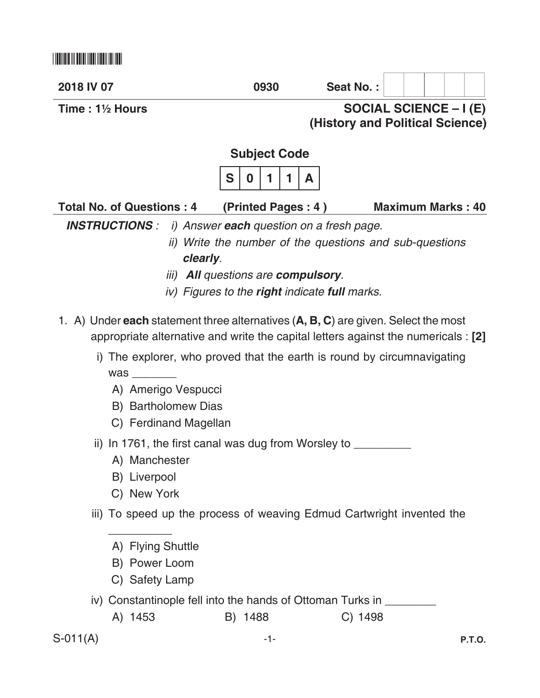| 2018 IV 07                                                                                | 0930                                                        | Seat No.: |                                 |
|-------------------------------------------------------------------------------------------|-------------------------------------------------------------|-----------|---------------------------------|
| Time: $1\frac{1}{2}$ Hours                                                                |                                                             |           | <b>SOCIAL SCIENCE – I (E)</b>   |
|                                                                                           |                                                             |           | (History and Political Science) |
|                                                                                           | <b>Subject Code</b>                                         |           |                                 |
|                                                                                           | S<br>0<br>1<br>A                                            |           |                                 |
| <b>Total No. of Questions: 4</b>                                                          | (Printed Pages: 4)                                          |           | <b>Maximum Marks: 40</b>        |
| <b>INSTRUCTIONS :</b>                                                                     | i) Answer each question on a fresh page.                    |           |                                 |
|                                                                                           | ii) Write the number of the questions and sub-questions     |           |                                 |
| clearly.                                                                                  |                                                             |           |                                 |
|                                                                                           | <i>iii</i> ) <b>All</b> questions are <b>compulsory</b> .   |           |                                 |
|                                                                                           | iv) Figures to the <b>right</b> indicate <b>full</b> marks. |           |                                 |
| 1. A) Under <b>each</b> statement three alternatives (A, B, C) are given. Select the most |                                                             |           |                                 |
| appropriate alternative and write the capital letters against the numericals : [2]        |                                                             |           |                                 |
| The explorer, who proved that the earth is round by circumnavigating<br>$\mathsf{i}$      |                                                             |           |                                 |
| was                                                                                       |                                                             |           |                                 |
| A) Amerigo Vespucci                                                                       |                                                             |           |                                 |
| B) Bartholomew Dias                                                                       |                                                             |           |                                 |
| C) Ferdinand Magellan                                                                     |                                                             |           |                                 |
| ii) In 1761, the first canal was dug from Worsley to ___                                  |                                                             |           |                                 |
| A) Manchester                                                                             |                                                             |           |                                 |
| B) Liverpool                                                                              |                                                             |           |                                 |
| C) New York                                                                               |                                                             |           |                                 |
| iii) To speed up the process of weaving Edmud Cartwright invented the                     |                                                             |           |                                 |
| A) Flying Shuttle                                                                         |                                                             |           |                                 |
| B) Power Loom                                                                             |                                                             |           |                                 |
| C) Safety Lamp                                                                            |                                                             |           |                                 |

iv) Constantinople fell into the hands of Ottoman Turks in \_\_\_\_\_\_\_

| A) 1453 | B) 1488 | C) 1498 |
|---------|---------|---------|
|---------|---------|---------|

 $S-011(A)$  -1-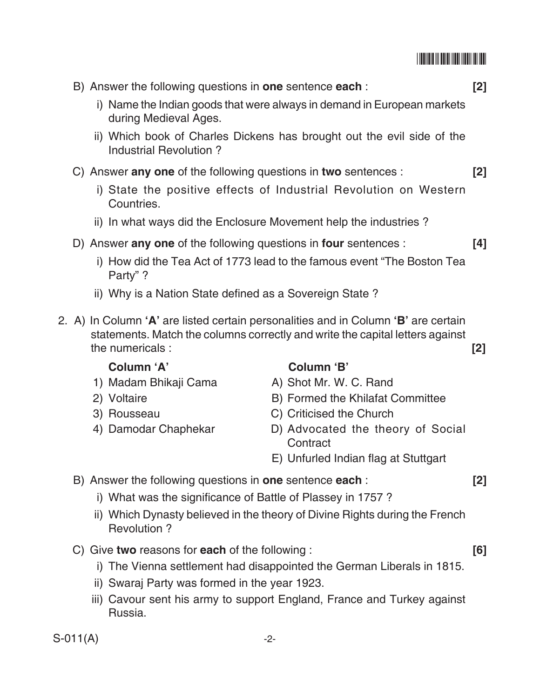| <u> III maanda ka mid maalaa ka mid</u> |  |  |  |
|-----------------------------------------|--|--|--|
|                                         |  |  |  |

|            |                                                                             | B) Answer the following questions in <b>one</b> sentence <b>each</b> :<br>[2]                                                                                       |               |  |
|------------|-----------------------------------------------------------------------------|---------------------------------------------------------------------------------------------------------------------------------------------------------------------|---------------|--|
|            | during Medieval Ages.                                                       | i) Name the Indian goods that were always in demand in European markets                                                                                             |               |  |
|            | Industrial Revolution?                                                      | ii) Which book of Charles Dickens has brought out the evil side of the                                                                                              |               |  |
|            | C) Answer any one of the following questions in two sentences :             |                                                                                                                                                                     | $\mathsf{I2}$ |  |
|            | Countries.                                                                  | i) State the positive effects of Industrial Revolution on Western                                                                                                   |               |  |
|            | ii) In what ways did the Enclosure Movement help the industries?            |                                                                                                                                                                     |               |  |
|            | D) Answer any one of the following questions in four sentences :<br>Party"? | i) How did the Tea Act of 1773 lead to the famous event "The Boston Tea                                                                                             | [4]           |  |
|            | ii) Why is a Nation State defined as a Sovereign State?                     |                                                                                                                                                                     |               |  |
|            | the numericals:                                                             | 2. A) In Column 'A' are listed certain personalities and in Column 'B' are certain<br>statements. Match the columns correctly and write the capital letters against | [2]           |  |
|            | Column 'A'                                                                  | Column 'B'                                                                                                                                                          |               |  |
|            | 1) Madam Bhikaji Cama                                                       | A) Shot Mr. W. C. Rand                                                                                                                                              |               |  |
|            | 2) Voltaire<br>3) Rousseau                                                  | B) Formed the Khilafat Committee<br>C) Criticised the Church                                                                                                        |               |  |
|            | 4) Damodar Chaphekar                                                        | D) Advocated the theory of Social<br>Contract                                                                                                                       |               |  |
|            |                                                                             | E) Unfurled Indian flag at Stuttgart                                                                                                                                |               |  |
|            | B) Answer the following questions in one sentence each:                     |                                                                                                                                                                     | $[2]$         |  |
|            | i) What was the significance of Battle of Plassey in 1757?                  |                                                                                                                                                                     |               |  |
|            | Revolution ?                                                                | ii) Which Dynasty believed in the theory of Divine Rights during the French                                                                                         |               |  |
|            | C) Give two reasons for each of the following:                              |                                                                                                                                                                     | [6]           |  |
|            |                                                                             | i) The Vienna settlement had disappointed the German Liberals in 1815.                                                                                              |               |  |
|            | ii) Swaraj Party was formed in the year 1923.<br>Russia.                    | iii) Cavour sent his army to support England, France and Turkey against                                                                                             |               |  |
| $S-011(A)$ |                                                                             | $-2-$                                                                                                                                                               |               |  |
|            |                                                                             |                                                                                                                                                                     |               |  |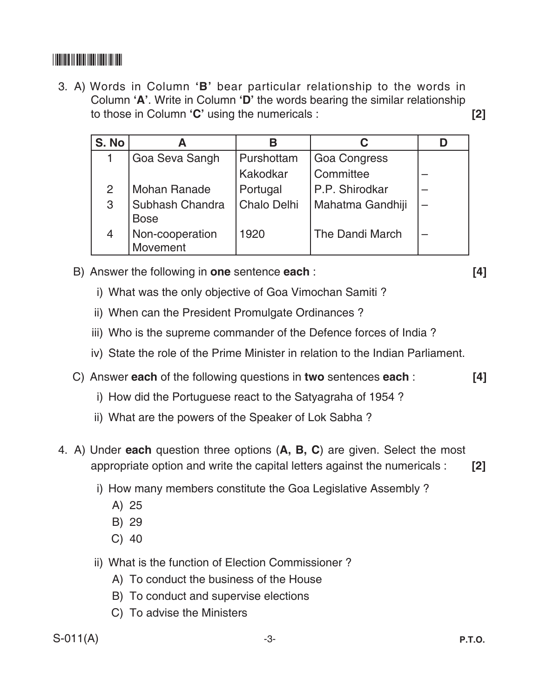## \*S011A\*

3. A) Words in Column **'B'** bear particular relationship to the words in Column **'A'**. Write in Column **'D'** the words bearing the similar relationship to those in Column **'C'** using the numericals : **[2]**

| S. No |                                | В                  |                     |  |
|-------|--------------------------------|--------------------|---------------------|--|
|       | Goa Seva Sangh                 | Purshottam         | <b>Goa Congress</b> |  |
|       |                                | Kakodkar           | Committee           |  |
| 2     | <b>Mohan Ranade</b>            | Portugal           | P.P. Shirodkar      |  |
| 3     | Subhash Chandra<br><b>Bose</b> | <b>Chalo Delhi</b> | Mahatma Gandhiji    |  |
| 4     | Non-cooperation<br>Movement    | 1920               | The Dandi March     |  |

- B) Answer the following in **one** sentence **each** : **[4]**
	- i) What was the only objective of Goa Vimochan Samiti?
	- ii) When can the President Promulgate Ordinances?
	- iii) Who is the supreme commander of the Defence forces of India?
	- iv) State the role of the Prime Minister in relation to the Indian Parliament.
- C) Answer **each** of the following questions in **two** sentences **each** : **[4]**
	- i) How did the Portuguese react to the Satyagraha of 1954?
	- ii) What are the powers of the Speaker of Lok Sabha?
- 4. A) Under **each** question three options (**A, B, C**) are given. Select the most appropriate option and write the capital letters against the numericals : **[2]**
	- i) How many members constitute the Goa Legislative Assembly ?
		- A) 25
		- B) 29
		- C) 40
	- ii) What is the function of Election Commissioner?
		- A) To conduct the business of the House
		- B) To conduct and supervise elections
		- C) To advise the Ministers

 $S-011(A)$  -3-